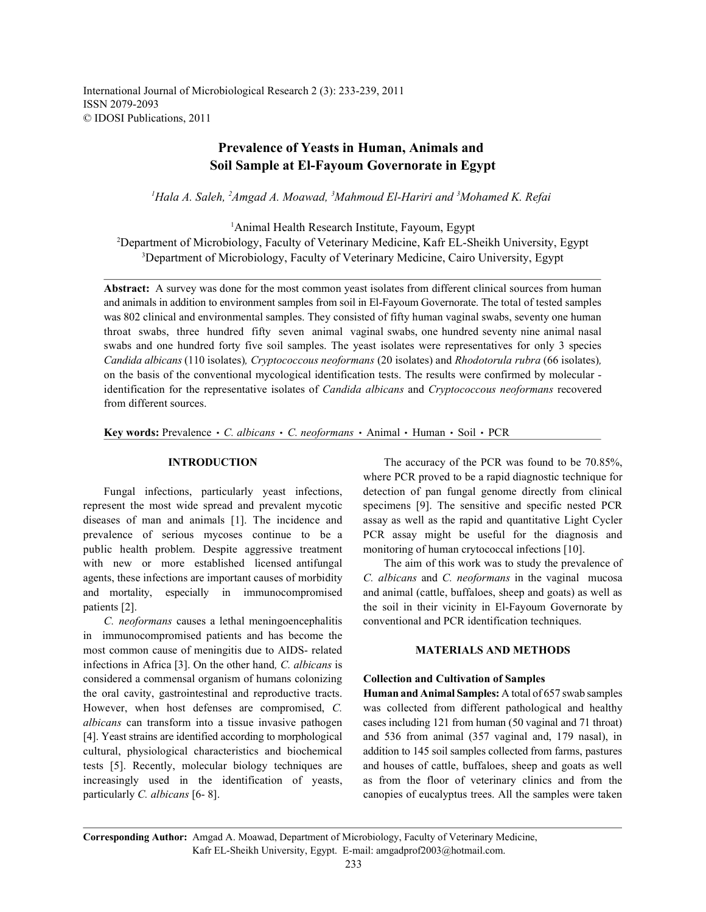# **Prevalence of Yeasts in Human, Animals and Soil Sample at El-Fayoum Governorate in Egypt**

<sup>1</sup>Hala A. Saleh, <sup>2</sup>Amgad A. Moawad, <sup>3</sup>Mahmoud El-Hariri and <sup>3</sup>Mohamed K. Refai

<sup>1</sup>Animal Health Research Institute, Fayoum, Egypt

<sup>2</sup>Department of Microbiology, Faculty of Veterinary Medicine, Kafr EL-Sheikh University, Egypt <sup>3</sup>Department of Microbiology, Faculty of Veterinary Medicine, Cairo University, Egypt

**Abstract:** A survey was done for the most common yeast isolates from different clinical sources from human and animals in addition to environment samples from soil in El-Fayoum Governorate. The total of tested samples was 802 clinical and environmental samples. They consisted of fifty human vaginal swabs, seventy one human throat swabs, three hundred fifty seven animal vaginal swabs, one hundred seventy nine animal nasal swabs and one hundred forty five soil samples. The yeast isolates were representatives for only 3 species *Candida albicans* (110 isolates)*, Cryptococcous neoformans* (20 isolates) and *Rhodotorula rubra* (66 isolates)*,* on the basis of the conventional mycological identification tests. The results were confirmed by molecular identification for the representative isolates of *Candida albicans* and *Cryptococcous neoformans* recovered from different sources.

Key words: Prevalence · C. albicans · C. neoformans · Animal · Human · Soil · PCR

represent the most wide spread and prevalent mycotic specimens [9]. The sensitive and specific nested PCR diseases of man and animals [1]. The incidence and assay as well as the rapid and quantitative Light Cycler prevalence of serious mycoses continue to be a PCR assay might be useful for the diagnosis and public health problem. Despite aggressive treatment monitoring of human crytococcal infections [10]. with new or more established licensed antifungal The aim of this work was to study the prevalence of agents, these infections are important causes of morbidity *C. albicans* and *C. neoformans* in the vaginal mucosa and mortality, especially in immunocompromised and animal (cattle, buffaloes, sheep and goats) as well as patients [2]. the soil in their vicinity in El-Fayoum Governorate by

*C. neoformans* causes a lethal meningoencephalitis conventional and PCR identification techniques. in immunocompromised patients and has become the most common cause of meningitis due to AIDS- related **MATERIALS AND METHODS** infections in Africa [3]. On the other hand*, C. albicans* is considered a commensal organism of humans colonizing **Collection and Cultivation of Samples**  the oral cavity, gastrointestinal and reproductive tracts. **Human and Animal Samples:** A total of 657 swab samples However, when host defenses are compromised, *C.* was collected from different pathological and healthy *albicans* can transform into a tissue invasive pathogen cases including 121 from human (50 vaginal and 71 throat) [4]. Yeast strains are identified according to morphological and 536 from animal (357 vaginal and, 179 nasal), in cultural, physiological characteristics and biochemical addition to 145 soil samples collected from farms, pastures tests [5]. Recently, molecular biology techniques are and houses of cattle, buffaloes, sheep and goats as well increasingly used in the identification of yeasts, as from the floor of veterinary clinics and from the particularly *C. albicans* [6- 8]. canopies of eucalyptus trees. All the samples were taken

**INTRODUCTION** The accuracy of the PCR was found to be 70.85%, Fungal infections, particularly yeast infections, detection of pan fungal genome directly from clinical where PCR proved to be a rapid diagnostic technique for

**Corresponding Author:** Amgad A. Moawad, Department of Microbiology, Faculty of Veterinary Medicine, Kafr EL-Sheikh University, Egypt. E-mail: amgadprof2003@hotmail.com.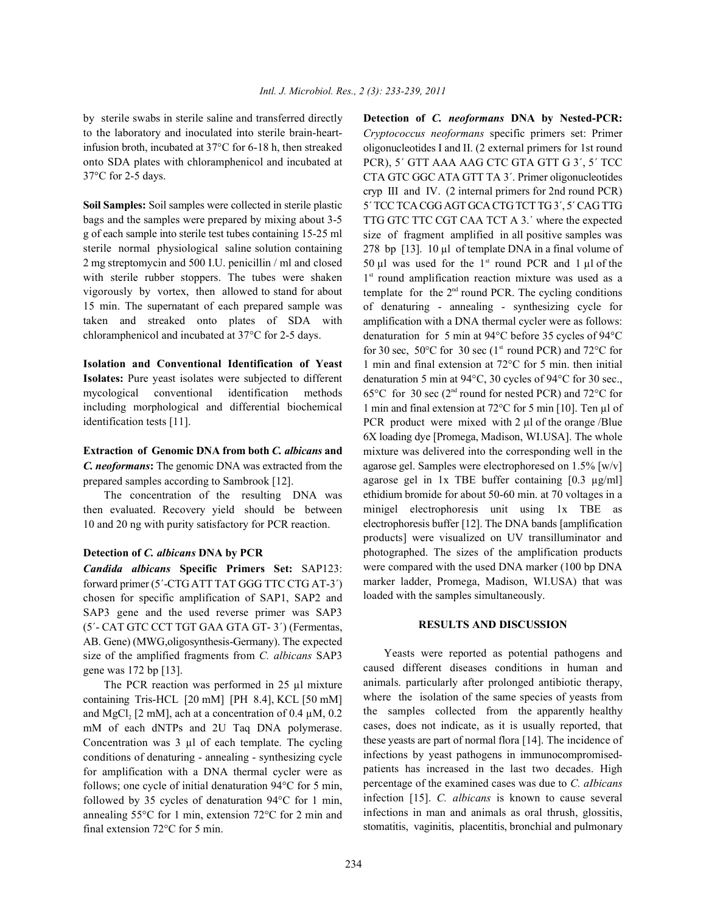to the laboratory and inoculated into sterile brain-heartinfusion broth, incubated at 37°C for 6-18 h, then streaked onto SDA plates with chloramphenicol and incubated at 37°C for 2-5 days.

**Soil Samples:** Soil samples were collected in sterile plastic bags and the samples were prepared by mixing about 3-5 g of each sample into sterile test tubes containing 15-25 ml sterile normal physiological saline solution containing 2 mg streptomycin and 500 I.U. penicillin / ml and closed with sterile rubber stoppers. The tubes were shaken vigorously by vortex, then allowed to stand for about 15 min. The supernatant of each prepared sample was taken and streaked onto plates of SDA with chloramphenicol and incubated at 37°C for 2-5 days.

**Isolation and Conventional Identification of Yeast Isolates:** Pure yeast isolates were subjected to different mycological conventional identification methods including morphological and differential biochemical identification tests [11].

**Extraction of Genomic DNA from both** *C. albicans* **and** *C. neoformans*: The genomic DNA was extracted from the agarose gel. Samples were electrophoresed on 1.5% [w/v] prepared samples according to Sambrook [12].

The concentration of the resulting DNA was then evaluated. Recovery yield should be between 10 and 20 ng with purity satisfactory for PCR reaction.

### **Detection of** *C. albicans* **DNA by PCR**

*Candida albicans* **Specific Primers Set:** SAP123: forward primer (5´-CTG ATT TAT GGG TTC CTG AT-3´) chosen for specific amplification of SAP1, SAP2 and SAP3 gene and the used reverse primer was SAP3 (5´- CAT GTC CCT TGT GAA GTA GT- 3´) (Fermentas, AB. Gene) (MWG,oligosynthesis-Germany). The expected size of the amplified fragments from *C. albicans* SAP3 gene was 172 bp [13].

The PCR reaction was performed in 25 µl mixture containing Tris-HCL [20 mM] [PH 8.4], KCL [50 mM] and MgCl,  $[2 \text{ mM}]$ , ach at a concentration of 0.4  $\mu$ M, 0.2 mM of each dNTPs and 2U Taq DNA polymerase. Concentration was 3 µl of each template. The cycling conditions of denaturing - annealing - synthesizing cycle for amplification with a DNA thermal cycler were as follows; one cycle of initial denaturation 94°C for 5 min, followed by 35 cycles of denaturation 94°C for 1 min, annealing 55°C for 1 min, extension 72°C for 2 min and final extension 72°C for 5 min.

by sterile swabs in sterile saline and transferred directly **Detection of** *C. neoformans* **DNA by Nested-PCR:** *Cryptococcus neoformans* specific primers set: Primer oligonucleotides I and II. (2 external primers for 1st round PCR), 5<sup>'</sup> GTT AAA AAG CTC GTA GTT G 3', 5' TCC CTA GTC GGC ATA GTT TA 3´. Primer oligonucleotides cryp III and IV. (2 internal primers for 2nd round PCR) 5´ TCC TCA CGG AGT GCA CTG TCT TG 3´, 5´ CAG TTG TTG GTC TTC CGT CAA TCT A 3.´ where the expected size of fragment amplified in all positive samples was 278 bp [13]. 10 µl of template DNA in a final volume of 50 µl was used for the  $1<sup>st</sup>$  round PCR and 1 µl of the 1<sup>st</sup> round amplification reaction mixture was used as a template for the  $2<sup>nd</sup>$  round PCR. The cycling conditions of denaturing - annealing - synthesizing cycle for amplification with a DNA thermal cycler were as follows: denaturation for 5 min at 94°C before 35 cycles of 94°C for 30 sec, 50 $\degree$ C for 30 sec (1<sup>st</sup> round PCR) and 72 $\degree$ C for 1 min and final extension at 72°C for 5 min. then initial denaturation 5 min at 94°C, 30 cycles of 94°C for 30 sec., 65 $\degree$ C for 30 sec (2<sup>nd</sup> round for nested PCR) and 72 $\degree$ C for 1 min and final extension at 72°C for 5 min [10]. Ten µl of PCR product were mixed with 2 µl of the orange /Blue 6X loading dye [Promega, Madison, WI.USA]. The whole mixture was delivered into the corresponding well in the agarose gel in  $1x$  TBE buffer containing  $[0.3 \mu g/ml]$ ethidium bromide for about 50-60 min. at 70 voltages in a minigel electrophoresis unit using 1x TBE as electrophoresis buffer [12]. The DNA bands [amplification products] were visualized on UV transilluminator and photographed. The sizes of the amplification products were compared with the used DNA marker (100 bp DNA marker ladder, Promega, Madison, WI.USA) that was loaded with the samples simultaneously.

### **RESULTS AND DISCUSSION**

Yeasts were reported as potential pathogens and caused different diseases conditions in human and animals. particularly after prolonged antibiotic therapy, where the isolation of the same species of yeasts from the samples collected from the apparently healthy cases, does not indicate, as it is usually reported, that these yeasts are part of normal flora [14]. The incidence of infections by yeast pathogens in immunocompromisedpatients has increased in the last two decades. High percentage of the examined cases was due to *C. aIbicans* infection [15]. *C. albicans* is known to cause several infections in man and animals as oral thrush, glossitis, stomatitis, vaginitis, placentitis, bronchial and pulmonary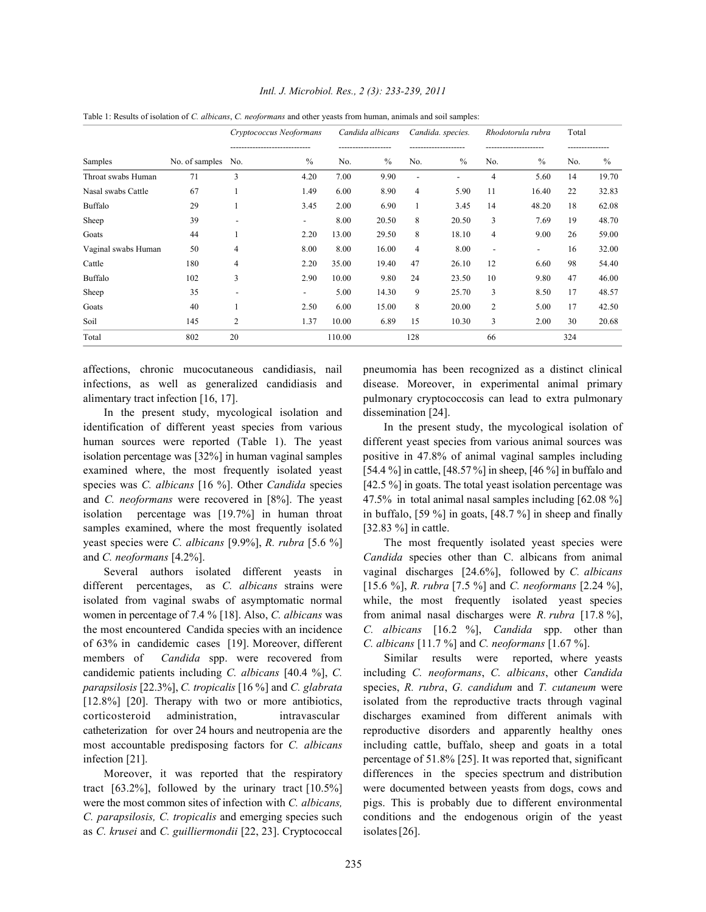| Samples             | No. of samples | Cryptococcus Neoformans  |                                      |        | Candida albicans |                          | Candida. species. |                          | Rhodotorula rubra        |     | Total |  |
|---------------------|----------------|--------------------------|--------------------------------------|--------|------------------|--------------------------|-------------------|--------------------------|--------------------------|-----|-------|--|
|                     |                | No.                      | -------------------<br>$\frac{0}{0}$ | No.    | $\frac{0}{0}$    | No.                      | $\%$              | No.                      | $\frac{0}{0}$            | No. | $\%$  |  |
| Throat swabs Human  | 71             | 3                        | 4.20                                 | 7.00   | 9.90             | $\overline{\phantom{a}}$ | -                 | $\overline{4}$           | 5.60                     | 14  | 19.70 |  |
| Nasal swabs Cattle  | 67             |                          | 1.49                                 | 6.00   | 8.90             | $\overline{4}$           | 5.90              | 11                       | 16.40                    | 22  | 32.83 |  |
| Buffalo             | 29             |                          | 3.45                                 | 2.00   | 6.90             | 1                        | 3.45              | 14                       | 48.20                    | 18  | 62.08 |  |
| Sheep               | 39             | $\overline{a}$           | $\overline{\phantom{a}}$             | 8.00   | 20.50            | 8                        | 20.50             | 3                        | 7.69                     | 19  | 48.70 |  |
| Goats               | 44             | 1                        | 2.20                                 | 13.00  | 29.50            | 8                        | 18.10             | $\overline{4}$           | 9.00                     | 26  | 59.00 |  |
| Vaginal swabs Human | 50             | 4                        | 8.00                                 | 8.00   | 16.00            | $\overline{4}$           | 8.00              | $\overline{\phantom{0}}$ | $\overline{\phantom{0}}$ | 16  | 32.00 |  |
| Cattle              | 180            | 4                        | 2.20                                 | 35.00  | 19.40            | 47                       | 26.10             | 12                       | 6.60                     | 98  | 54.40 |  |
| Buffalo             | 102            | 3                        | 2.90                                 | 10.00  | 9.80             | 24                       | 23.50             | 10                       | 9.80                     | 47  | 46.00 |  |
| Sheep               | 35             | $\overline{\phantom{a}}$ | $\overline{\phantom{a}}$             | 5.00   | 14.30            | 9                        | 25.70             | 3                        | 8.50                     | 17  | 48.57 |  |
| Goats               | 40             | 1                        | 2.50                                 | 6.00   | 15.00            | 8                        | 20.00             | $\overline{c}$           | 5.00                     | 17  | 42.50 |  |
| Soil                | 145            | $\overline{2}$           | 1.37                                 | 10.00  | 6.89             | 15                       | 10.30             | 3                        | 2.00                     | 30  | 20.68 |  |
| Total               | 802            | 20                       |                                      | 110.00 |                  | 128                      |                   | 66                       |                          | 324 |       |  |

### *Intl. J. Microbiol. Res., 2 (3): 233-239, 2011*

Table 1: Results of isolation of *C. albicans*, *C. neoformans* and other yeasts from human, animals and soil samples:

affections, chronic mucocutaneous candidiasis, nail pneumomia has been recognized as a distinct clinical infections, as well as generalized candidiasis and disease. Moreover, in experimental animal primary alimentary tract infection [16, 17]. pulmonary cryptococcosis can lead to extra pulmonary

In the present study, mycological isolation and dissemination [24]. identification of different yeast species from various In the present study, the mycological isolation of human sources were reported (Table 1). The yeast different yeast species from various animal sources was isolation percentage was [32%] in human vaginal samples positive in 47.8% of animal vaginal samples including examined where, the most frequently isolated yeast [54.4 %] in cattle, [48.57 %] in sheep, [46 %] in buffalo and species was *C. albicans* [16 %]. Other *Candida* species [42.5 %] in goats. The total yeast isolation percentage was and *C. neoformans* were recovered in [8%]. The yeast 47.5% in total animal nasal samples including [62.08 %] isolation percentage was [19.7%] in human throat in buffalo, [59 %] in goats, [48.7 %] in sheep and finally samples examined, where the most frequently isolated [32.83 %] in cattle. yeast species were *C. albicans* [9.9%], *R. rubra* [5.6 %] The most frequently isolated yeast species were

different percentages, as *C. albicans* strains were [15.6 %], *R. rubra* [7.5 %] and *C. neoformans* [2.24 %], isolated from vaginal swabs of asymptomatic normal while, the most frequently isolated yeast species women in percentage of 7.4 % [18]. Also, *C. albicans* was from animal nasal discharges were *R. rubra* [17.8 %], the most encountered Candida species with an incidence *C. albicans* [16.2 %], *Candida* spp. other than of 63% in candidemic cases [19]. Moreover, different *C. albicans* [11.7 %] and *C. neoformans* [1.67 %]. members of *Candida* spp. were recovered from Similar results were reported, where yeasts candidemic patients including *C. albicans* [40.4 %], *C.* including *C. neoformans*, *C. albicans*, other *Candida parapsilosis* [22.3%], *C. tropicalis* [16 %] and *C. glabrata* species, *R. rubra*, *G. candidum* and *T. cutaneum* were [12.8%] [20]. Therapy with two or more antibiotics, isolated from the reproductive tracts through vaginal corticosteroid administration, intravascular discharges examined from different animals with catheterization for over 24 hours and neutropenia are the reproductive disorders and apparently healthy ones most accountable predisposing factors for *C. albicans* including cattle, buffalo, sheep and goats in a total infection [21]. percentage of 51.8% [25]. It was reported that, significant

tract [63.2%], followed by the urinary tract [10.5%] were documented between yeasts from dogs, cows and were the most common sites of infection with *C. albicans*, pigs. This is probably due to different environmental *C. parapsilosis, C. tropicalis* and emerging species such conditions and the endogenous origin of the yeast as *C. krusei* and *C. guilliermondii* [22, 23]. Cryptococcal isolates [26].

and *C. neoformans* [4.2%]. *Candida* species other than C. albicans from animal Several authors isolated different yeasts in vaginal discharges [24.6%], followed by *C. albicans*

Moreover, it was reported that the respiratory differences in the species spectrum and distribution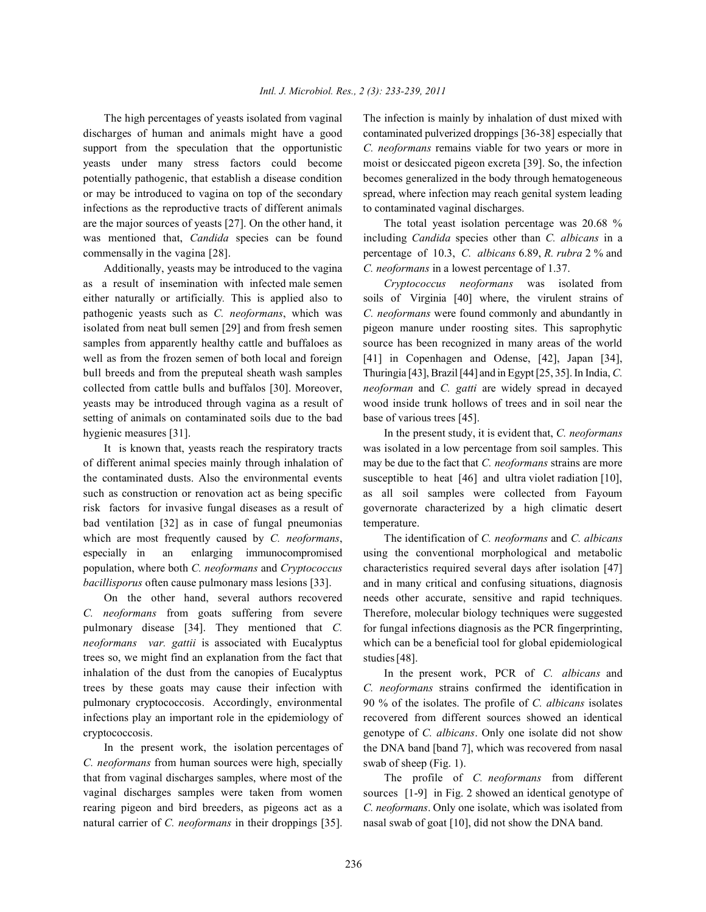discharges of human and animals might have a good contaminated pulverized droppings [36-38] especially that support from the speculation that the opportunistic *C. neoformans* remains viable for two years or more in yeasts under many stress factors could become moist or desiccated pigeon excreta [39]. So, the infection potentially pathogenic, that establish a disease condition becomes generalized in the body through hematogeneous or may be introduced to vagina on top of the secondary spread, where infection may reach genital system leading infections as the reproductive tracts of different animals to contaminated vaginal discharges. are the major sources of yeasts [27]. On the other hand, it The total yeast isolation percentage was 20.68 % was mentioned that, *Candida* species can be found including *Candida* species other than *C. albicans* in a commensally in the vagina [28]. percentage of 10.3, *C. albicans* 6.89, *R. rubra* 2 % and

Additionally, yeasts may be introduced to the vagina *C. neoformans* in a lowest percentage of 1.37. as a result of insemination with infected male semen *Cryptococcus neoformans* was isolated from either naturally or artificially*.* This is applied also to soils of Virginia [40] where, the virulent strains of pathogenic yeasts such as *C. neoformans*, which was *C. neoformans* were found commonly and abundantly in isolated from neat bull semen [29] and from fresh semen pigeon manure under roosting sites. This saprophytic samples from apparently healthy cattle and buffaloes as source has been recognized in many areas of the world well as from the frozen semen of both local and foreign [41] in Copenhagen and Odense, [42], Japan [34], bull breeds and from the preputeal sheath wash samples Thuringia [43], Brazil [44] and in Egypt [25, 35]. In India, *C.* collected from cattle bulls and buffalos [30]. Moreover, *neoforman* and *C. gatti* are widely spread in decayed yeasts may be introduced through vagina as a result of wood inside trunk hollows of trees and in soil near the setting of animals on contaminated soils due to the bad base of various trees [45]. hygienic measures [31]. In the present study, it is evident that, *C. neoformans*

of different animal species mainly through inhalation of may be due to the fact that *C. neoformans* strains are more the contaminated dusts. Also the environmental events susceptible to heat [46] and ultra violet radiation [10], such as construction or renovation act as being specific as all soil samples were collected from Fayoum risk factors for invasive fungal diseases as a result of governorate characterized by a high climatic desert bad ventilation [32] as in case of fungal pneumonias temperature. which are most frequently caused by *C. neoformans*, The identification of *C. neoformans* and *C. albicans* especially in an enlarging immunocompromised using the conventional morphological and metabolic population, where both *C. neoformans* and *Cryptococcus* characteristics required several days after isolation [47] *bacillisporus* often cause pulmonary mass lesions [33].

On the other hand, several authors recovered *C. neoformans* from goats suffering from severe pulmonary disease [34]. They mentioned that *C. neoformans var. gattii* is associated with Eucalyptus trees so, we might find an explanation from the fact that inhalation of the dust from the canopies of Eucalyptus trees by these goats may cause their infection with pulmonary cryptococcosis. Accordingly, environmental infections play an important role in the epidemiology of cryptococcosis.

In the present work, the isolation percentages of *C. neoformans* from human sources were high, specially that from vaginal discharges samples, where most of the vaginal discharges samples were taken from women rearing pigeon and bird breeders, as pigeons act as a natural carrier of *C. neoformans* in their droppings [35].

The high percentages of yeasts isolated from vaginal The infection is mainly by inhalation of dust mixed with

It is known that, yeasts reach the respiratory tracts was isolated in a low percentage from soil samples. This

and in many critical and confusing situations, diagnosis needs other accurate, sensitive and rapid techniques. Therefore, molecular biology techniques were suggested for fungal infections diagnosis as the PCR fingerprinting, which can be a beneficial tool for global epidemiological studies [48].

In the present work, PCR of *C. albicans* and *C. neoformans* strains confirmed the identification in 90 % of the isolates. The profile of *C. albicans* isolates recovered from different sources showed an identical genotype of *C. albicans*. Only one isolate did not show the DNA band [band 7], which was recovered from nasal swab of sheep (Fig. 1).

The profile of *C. neoformans* from different sources [1-9] in Fig. 2 showed an identical genotype of *C. neoformans*. Only one isolate, which was isolated from nasal swab of goat [10], did not show the DNA band.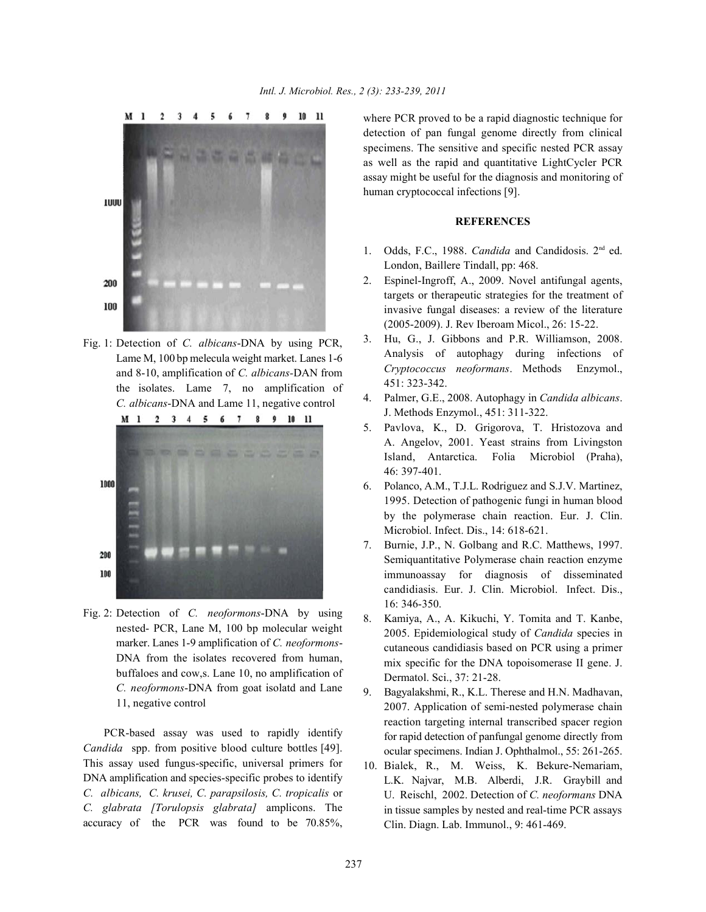

Fig. 1: Detection of *C. albicans*-DNA by using PCR, Lame M, 100 bp melecula weight market. Lanes 1-6 and 8-10, amplification of *C. albicans-*DAN from the isolates. Lame 7, no amplification of *C. albicans*-DNA and Lame 11, negative control



Fig. 2: Detection of *C. neoformons*-DNA by using nested- PCR, Lane M, 100 bp molecular weight marker. Lanes 1-9 amplification of *C. neoformons*-DNA from the isolates recovered from human, buffaloes and cow,s. Lane 10, no amplification of *C. neoformons*-DNA from goat isolatd and Lane 11, negative control

PCR-based assay was used to rapidly identify *Candida* spp. from positive blood culture bottles [49]. This assay used fungus-specific, universal primers for DNA amplification and species-specific probes to identify *C. albicans, C. krusei, C. parapsilosis, C. tropicalis* or *C. glabrata [Torulopsis glabrata]* amplicons. The accuracy of the PCR was found to be 70.85%, where PCR proved to be a rapid diagnostic technique for detection of pan fungal genome directly from clinical specimens. The sensitive and specific nested PCR assay as well as the rapid and quantitative LightCycler PCR assay might be useful for the diagnosis and monitoring of human cryptococcal infections [9].

## **REFERENCES**

- 1. Odds, F.C., 1988. *Candida* and Candidosis. 2<sup>nd</sup> ed. London, Baillere Tindall, pp: 468.
- 2. Espinel-Ingroff, A., 2009. Novel antifungal agents, targets or therapeutic strategies for the treatment of invasive fungal diseases: a review of the literature (2005-2009). J. Rev Iberoam Micol., 26: 15-22.
- 3. Hu, G., J. Gibbons and P.R. Williamson, 2008. Analysis of autophagy during infections of *Cryptococcus neoformans*. Methods Enzymol., 451: 323-342.
- 4. Palmer, G.E., 2008. Autophagy in *Candida albicans*. J. Methods Enzymol., 451: 311-322.
- 5. Pavlova, K., D. Grigorova, T. Hristozova and A. Angelov, 2001. Yeast strains from Livingston Island, Antarctica. Folia Microbiol (Praha), 46: 397-401.
- 6. Polanco, A.M., T.J.L. Rodriguez and S.J.V. Martinez, 1995. Detection of pathogenic fungi in human blood by the polymerase chain reaction. Eur. J. Clin. Microbiol. Infect. Dis., 14: 618-621.
- 7. Burnie, J.P., N. Golbang and R.C. Matthews, 1997. Semiquantitative Polymerase chain reaction enzyme immunoassay for diagnosis of disseminated candidiasis. Eur. J. Clin. Microbiol. Infect. Dis., 16: 346-350.
- 8. Kamiya, A., A. Kikuchi, Y. Tomita and T. Kanbe, 2005. Epidemiological study of *Candida* species in cutaneous candidiasis based on PCR using a primer mix specific for the DNA topoisomerase II gene. J. Dermatol. Sci., 37: 21-28.
- 9. Bagyalakshmi, R., K.L. Therese and H.N. Madhavan, 2007. Application of semi-nested polymerase chain reaction targeting internal transcribed spacer region for rapid detection of panfungal genome directly from ocular specimens. Indian J. Ophthalmol., 55: 261-265.
- 10. Bialek, R., M. Weiss, K. Bekure-Nemariam, L.K. Najvar, M.B. Alberdi, J.R. Graybill and U. Reischl, 2002. Detection of *C. neoformans* DNA in tissue samples by nested and real-time PCR assays Clin. Diagn. Lab. Immunol., 9: 461-469.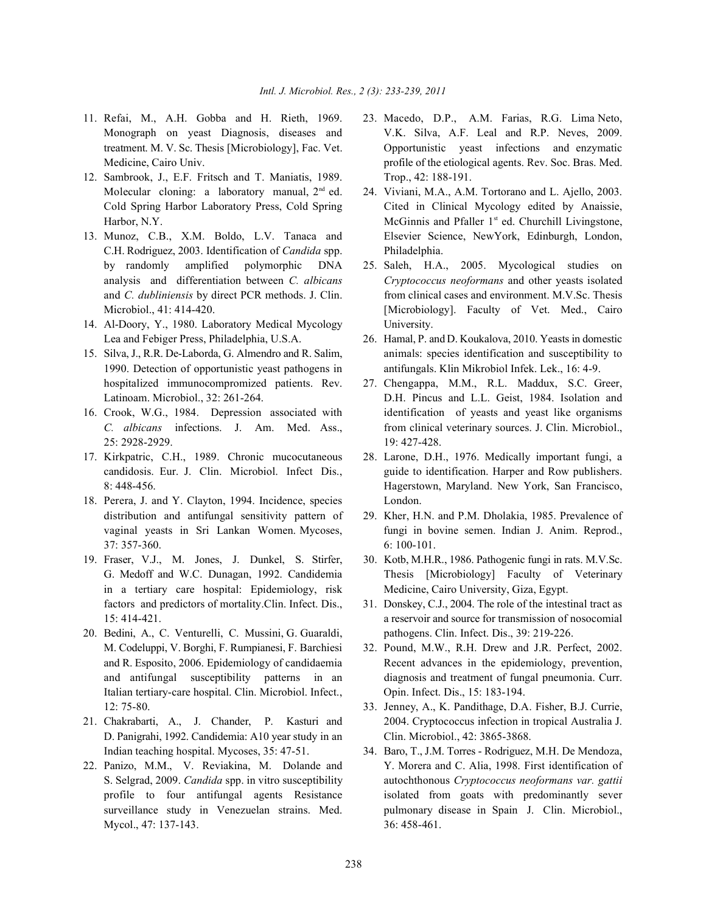- 
- 12. Sambrook, J., E.F. Fritsch and T. Maniatis, 1989. Trop., 42: 188-191. Molecular cloning: a laboratory manual,  $2<sup>nd</sup>$  ed. 24. Viviani, M.A., A.M. Tortorano and L. Ajello, 2003.
- C.H. Rodriguez, 2003. Identification of *Candida* spp. Philadelphia. by randomly amplified polymorphic DNA 25. Saleh, H.A., 2005. Mycological studies on
- 14. Al-Doory, Y., 1980. Laboratory Medical Mycology University.
- 1990. Detection of opportunistic yeast pathogens in antifungals. Klin Mikrobiol Infek. Lek., 16: 4-9. hospitalized immunocompromized patients. Rev. 27. Chengappa, M.M., R.L. Maddux, S.C. Greer,
- 25: 2928-2929. 19: 427-428.
- 
- 18. Perera, J. and Y. Clayton, 1994. Incidence, species London. distribution and antifungal sensitivity pattern of 29. Kher, H.N. and P.M. Dholakia, 1985. Prevalence of 37: 357-360. 6: 100-101.
- 19. Fraser, V.J., M. Jones, J. Dunkel, S. Stirfer, 30. Kotb, M.H.R., 1986. Pathogenic fungi in rats. M.V.Sc. in a tertiary care hospital: Epidemiology, risk Medicine, Cairo University, Giza, Egypt. factors and predictors of mortality.Clin. Infect. Dis., 31. Donskey, C.J., 2004. The role of the intestinal tract as
- 20. Bedini, A., C. Venturelli, C. Mussini, G. Guaraldi, pathogens. Clin. Infect. Dis., 39: 219-226. M. Codeluppi, V. Borghi, F. Rumpianesi, F. Barchiesi 32. Pound, M.W., R.H. Drew and J.R. Perfect, 2002. Italian tertiary-care hospital. Clin. Microbiol. Infect., Opin. Infect. Dis., 15: 183-194. 12: 75-80. 33. Jenney, A., K. Pandithage, D.A. Fisher, B.J. Currie,
- D. Panigrahi, 1992. Candidemia: A10 year study in an Clin. Microbiol., 42: 3865-3868. Indian teaching hospital. Mycoses, 35: 47-51. 34. Baro, T., J.M. Torres - Rodriguez, M.H. De Mendoza,
- Mycol., 47: 137-143. 36: 458-461.
- 11. Refai, M., A.H. Gobba and H. Rieth, 1969. 23. Macedo, D.P., A.M. Farias, R.G. Lima Neto, Monograph on yeast Diagnosis, diseases and V.K. Silva, A.F. Leal and R.P. Neves, 2009. treatment. M. V. Sc. Thesis [Microbiology], Fac. Vet. Opportunistic yeast infections and enzymatic Medicine, Cairo Univ. **profile of the etiological agents. Rev. Soc. Bras. Med.** profile of the etiological agents. Rev. Soc. Bras. Med.
- Cold Spring Harbor Laboratory Press, Cold Spring Cited in Clinical Mycology edited by Anaissie, Harbor, N.Y. **McGinnis and Pfaller 1<sup>st</sup> ed. Churchill Livingstone**, 13. Munoz, C.B., X.M. Boldo, L.V. Tanaca and Elsevier Science, NewYork, Edinburgh, London,
	- analysis and differentiation between *C. albicans Cryptococcus neoformans* and other yeasts isolated and *C. dubliniensis* by direct PCR methods. J. Clin. from clinical cases and environment. M.V.Sc. Thesis Microbiol., 41: 414-420. [Microbiology]. Faculty of Vet. Med., Cairo
- Lea and Febiger Press, Philadelphia, U.S.A. 26. Hamal, P. and D. Koukalova, 2010. Yeasts in domestic 15. Silva, J., R.R. De-Laborda, G. Almendro and R. Salim, animals: species identification and susceptibility to
- Latinoam. Microbiol., 32: 261-264. D.H. Pincus and L.L. Geist, 1984. Isolation and 16. Crook, W.G., 1984. Depression associated with identification of yeasts and yeast like organisms *C. albicans* infections. J. Am. Med. Ass., from clinical veterinary sources. J. Clin. Microbiol.,
- 17. Kirkpatric, C.H., 1989. Chronic mucocutaneous 28. Larone, D.H., 1976. Medically important fungi, a candidosis. Eur. J. Clin. Microbiol. Infect Dis., guide to identification. Harper and Row publishers. 8: 448-456. Hagerstown, Maryland. New York, San Francisco,
	- vaginal yeasts in Sri Lankan Women. Mycoses, fungi in bovine semen. Indian J. Anim. Reprod.,
	- G. Medoff and W.C. Dunagan, 1992. Candidemia Thesis [Microbiology] Faculty of Veterinary
	- 15: 414-421. a reservoir and source for transmission of nosocomial
	- and R. Esposito, 2006. Epidemiology of candidaemia Recent advances in the epidemiology, prevention, and antifungal susceptibility patterns in an diagnosis and treatment of fungal pneumonia. Curr.
- 21. Chakrabarti, A., J. Chander, P. Kasturi and 2004. Cryptococcus infection in tropical Australia J.
- 22. Panizo, M.M., V. Reviakina, M. Dolande and Y. Morera and C. Alia, 1998. First identification of S. Selgrad, 2009. *Candida* spp. in vitro susceptibility autochthonous *Cryptococcus neoformans var. gattii* profile to four antifungal agents Resistance isolated from goats with predominantly sever surveillance study in Venezuelan strains. Med. pulmonary disease in Spain J. Clin. Microbiol.,